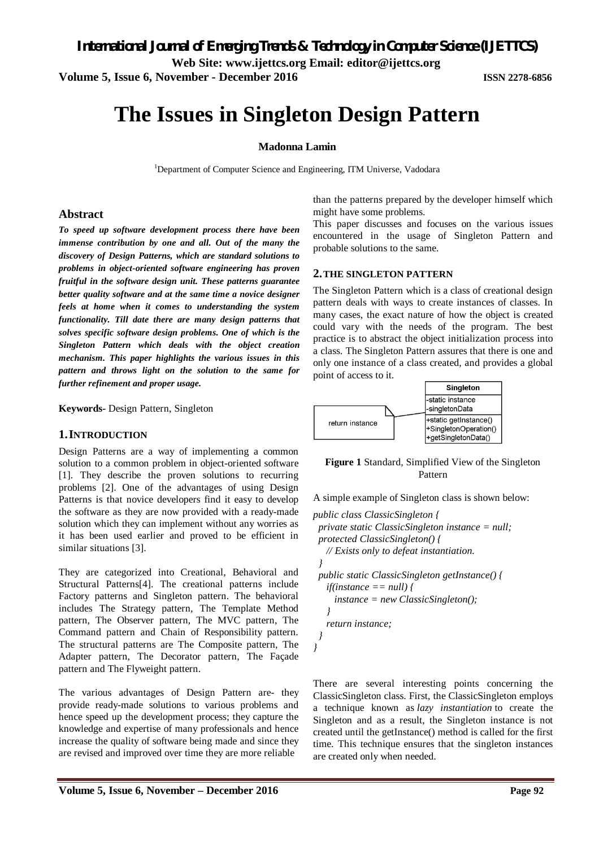*International Journal of Emerging Trends & Technology in Computer Science (IJETTCS)*

**Web Site: www.ijettcs.org Email: editor@ijettcs.org** 

**Volume 5, Issue 6, November - December 2016 ISSN 2278-6856**

# **The Issues in Singleton Design Pattern**

#### **Madonna Lamin**

<sup>1</sup>Department of Computer Science and Engineering, ITM Universe, Vadodara

#### **Abstract**

*To speed up software development process there have been immense contribution by one and all. Out of the many the discovery of Design Patterns, which are standard solutions to problems in object-oriented software engineering has proven fruitful in the software design unit. These patterns guarantee better quality software and at the same time a novice designer feels at home when it comes to understanding the system functionality. Till date there are many design patterns that solves specific software design problems. One of which is the Singleton Pattern which deals with the object creation mechanism. This paper highlights the various issues in this pattern and throws light on the solution to the same for further refinement and proper usage.*

**Keywords-** Design Pattern, Singleton

### **1.INTRODUCTION**

Design Patterns are a way of implementing a common solution to a common problem in object-oriented software [1]. They describe the proven solutions to recurring problems [2]. One of the advantages of using Design Patterns is that novice developers find it easy to develop the software as they are now provided with a ready-made solution which they can implement without any worries as it has been used earlier and proved to be efficient in similar situations [3].

They are categorized into Creational, Behavioral and Structural Patterns[4]. The creational patterns include Factory patterns and Singleton pattern. The behavioral includes The Strategy pattern, The Template Method pattern, The Observer pattern, The MVC pattern, The Command pattern and Chain of Responsibility pattern. The structural patterns are The Composite pattern, The Adapter pattern, The Decorator pattern, The Façade pattern and The Flyweight pattern.

The various advantages of Design Pattern are- they provide ready-made solutions to various problems and hence speed up the development process; they capture the knowledge and expertise of many professionals and hence increase the quality of software being made and since they are revised and improved over time they are more reliable

than the patterns prepared by the developer himself which might have some problems.

This paper discusses and focuses on the various issues encountered in the usage of Singleton Pattern and probable solutions to the same.

#### **2.THE SINGLETON PATTERN**

The Singleton Pattern which is a class of creational design pattern deals with ways to create instances of classes. In many cases, the exact nature of how the object is created could vary with the needs of the program. The best practice is to abstract the object initialization process into a class. The Singleton Pattern assures that there is one and only one instance of a class created, and provides a global point of access to it.



**Figure 1** Standard, Simplified View of the Singleton Pattern

A simple example of Singleton class is shown below:

```
public class ClassicSingleton {
  private static ClassicSingleton instance = null;
  protected ClassicSingleton() {
    // Exists only to defeat instantiation.
  }
  public static ClassicSingleton getInstance() {
    if(instance == null) {
      instance = new ClassicSingleton();
    }
    return instance;
 }
}
```
There are several interesting points concerning the ClassicSingleton class. First, the ClassicSingleton employs a technique known as *lazy instantiation* to create the Singleton and as a result, the Singleton instance is not created until the getInstance() method is called for the first time. This technique ensures that the singleton instances are created only when needed.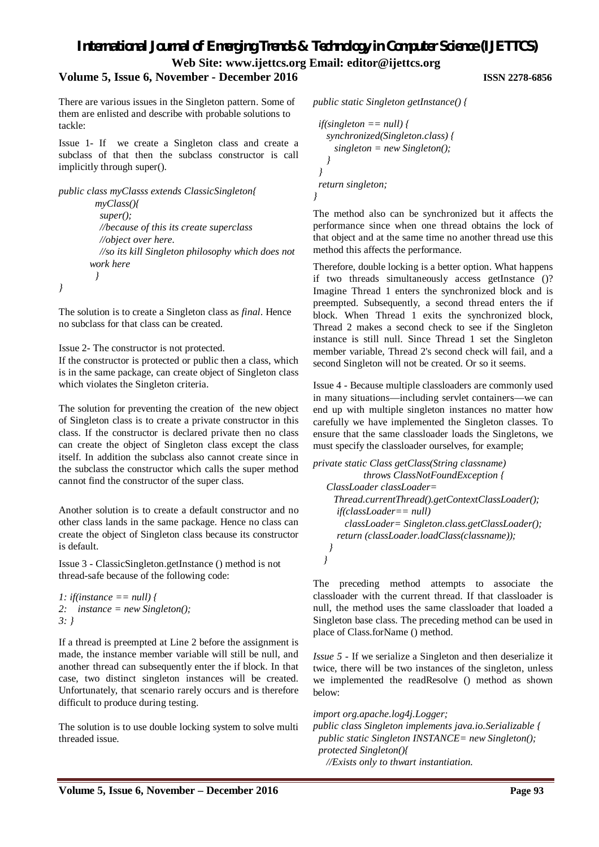## *International Journal of Emerging Trends & Technology in Computer Science (IJETTCS)* **Web Site: www.ijettcs.org Email: editor@ijettcs.org**

*}*

## **Volume 5, Issue 6, November - December 2016 ISSN 2278-6856**

There are various issues in the Singleton pattern. Some of them are enlisted and describe with probable solutions to tackle:

Issue 1- If we create a Singleton class and create a subclass of that then the subclass constructor is call implicitly through super().

```
public class myClasss extends ClassicSingleton{
        myClass(){
          super(); 
         //because of this its create superclass 
          //object over here.
         //so its kill Singleton philosophy which does not 
       work here
         }
}
```
The solution is to create a Singleton class as *final*. Hence no subclass for that class can be created.

Issue 2*-* The constructor is not protected.

If the constructor is protected or public then a class, which is in the same package, can create object of Singleton class which violates the Singleton criteria.

The solution for preventing the creation of the new object of Singleton class is to create a private constructor in this class. If the constructor is declared private then no class can create the object of Singleton class except the class itself. In addition the subclass also cannot create since in the subclass the constructor which calls the super method cannot find the constructor of the super class.

Another solution is to create a default constructor and no other class lands in the same package. Hence no class can create the object of Singleton class because its constructor is default.

Issue 3 - ClassicSingleton.getInstance () method is not thread-safe because of the following code:

```
1: if(instance == null) {
2: instance = new Singleton();
3: }
```
If a thread is preempted at Line 2 before the assignment is made, the instance member variable will still be null, and another thread can subsequently enter the if block. In that case, two distinct singleton instances will be created. Unfortunately, that scenario rarely occurs and is therefore difficult to produce during testing.

The solution is to use double locking system to solve multi threaded issue.

*public static Singleton getInstance() {*

```
 if(singleton == null) {
   synchronized(Singleton.class) {
     singleton = new Singleton();
   }
 }
 return singleton;
```
The method also can be synchronized but it affects the performance since when one thread obtains the lock of that object and at the same time no another thread use this method this affects the performance.

Therefore, double locking is a better option. What happens if two threads simultaneously access getInstance ()? Imagine Thread 1 enters the synchronized block and is preempted. Subsequently, a second thread enters the if block. When Thread 1 exits the synchronized block, Thread 2 makes a second check to see if the Singleton instance is still null. Since Thread 1 set the Singleton member variable, Thread 2's second check will fail, and a second Singleton will not be created. Or so it seems.

Issue 4 *-* Because multiple classloaders are commonly used in many situations—including servlet containers—we can end up with multiple singleton instances no matter how carefully we have implemented the Singleton classes. To ensure that the same classloader loads the Singletons, we must specify the classloader ourselves, for example;

```
private static Class getClass(String classname)
             throws ClassNotFoundException {
    ClassLoader classLoader=
     Thread.currentThread().getContextClassLoader();
      if(classLoader== null)
        classLoader= Singleton.class.getClassLoader();
      return (classLoader.loadClass(classname));
    }
  }
```
The preceding method attempts to associate the classloader with the current thread. If that classloader is null, the method uses the same classloader that loaded a Singleton base class. The preceding method can be used in place of Class.forName () method.

*Issue 5* - If we serialize a Singleton and then deserialize it twice, there will be two instances of the singleton, unless we implemented the readResolve () method as shown below:

*import org.apache.log4j.Logger; public class Singleton implements java.io.Serializable { public static Singleton INSTANCE= new Singleton(); protected Singleton(){ //Exists only to thwart instantiation.*